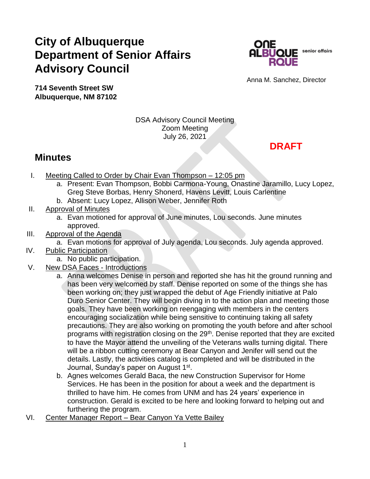## **City of Albuquerque Department of Senior Affairs Advisory Council**



Anna M. Sanchez, Director

**714 Seventh Street SW Albuquerque, NM 87102**

> DSA Advisory Council Meeting Zoom Meeting July 26, 2021

**DRAFT**

## **Minutes**

- I. Meeting Called to Order by Chair Evan Thompson 12:05 pm
	- a. Present: Evan Thompson, Bobbi Carmona-Young, Onastine Jaramillo, Lucy Lopez, Greg Steve Borbas, Henry Shonerd, Havens Levitt, Louis Carlentine
	- b. Absent: Lucy Lopez, Allison Weber, Jennifer Roth
- II. Approval of Minutes
	- a. Evan motioned for approval of June minutes, Lou seconds. June minutes approved.
- III. Approval of the Agenda
	- a. Evan motions for approval of July agenda, Lou seconds. July agenda approved.
- IV. Public Participation
	- a. No public participation.
- V. New DSA Faces Introductions
	- a. Anna welcomes Denise in person and reported she has hit the ground running and has been very welcomed by staff. Denise reported on some of the things she has been working on; they just wrapped the debut of Age Friendly initiative at Palo Duro Senior Center. They will begin diving in to the action plan and meeting those goals. They have been working on reengaging with members in the centers encouraging socialization while being sensitive to continuing taking all safety precautions. They are also working on promoting the youth before and after school programs with registration closing on the 29<sup>th</sup>. Denise reported that they are excited to have the Mayor attend the unveiling of the Veterans walls turning digital. There will be a ribbon cutting ceremony at Bear Canyon and Jenifer will send out the details. Lastly, the activities catalog is completed and will be distributed in the Journal, Sunday's paper on August 1<sup>st</sup>.
	- b. Agnes welcomes Gerald Baca, the new Construction Supervisor for Home Services. He has been in the position for about a week and the department is thrilled to have him. He comes from UNM and has 24 years' experience in construction. Gerald is excited to be here and looking forward to helping out and furthering the program.
- VI. Center Manager Report Bear Canyon Ya Vette Bailey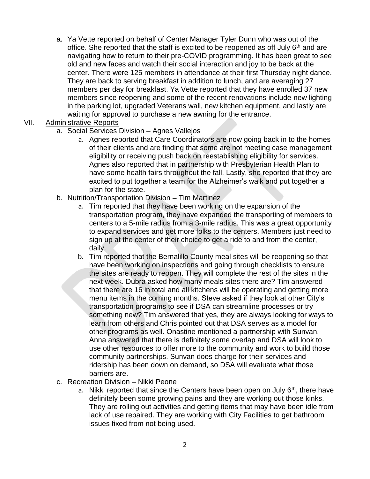a. Ya Vette reported on behalf of Center Manager Tyler Dunn who was out of the office. She reported that the staff is excited to be reopened as off July  $6<sup>th</sup>$  and are navigating how to return to their pre-COVID programming. It has been great to see old and new faces and watch their social interaction and joy to be back at the center. There were 125 members in attendance at their first Thursday night dance. They are back to serving breakfast in addition to lunch, and are averaging 27 members per day for breakfast. Ya Vette reported that they have enrolled 37 new members since reopening and some of the recent renovations include new lighting in the parking lot, upgraded Veterans wall, new kitchen equipment, and lastly are waiting for approval to purchase a new awning for the entrance.

## VII. Administrative Reports

- a. Social Services Division Agnes Vallejos
	- a. Agnes reported that Care Coordinators are now going back in to the homes of their clients and are finding that some are not meeting case management eligibility or receiving push back on reestablishing eligibility for services. Agnes also reported that in partnership with Presbyterian Health Plan to have some health fairs throughout the fall. Lastly, she reported that they are excited to put together a team for the Alzheimer's walk and put together a plan for the state.
- b. Nutrition/Transportation Division Tim Martinez
	- a. Tim reported that they have been working on the expansion of the transportation program, they have expanded the transporting of members to centers to a 5-mile radius from a 3-mile radius. This was a great opportunity to expand services and get more folks to the centers. Members just need to sign up at the center of their choice to get a ride to and from the center, daily.
	- b. Tim reported that the Bernalillo County meal sites will be reopening so that have been working on inspections and going through checklists to ensure the sites are ready to reopen. They will complete the rest of the sites in the next week. Dubra asked how many meals sites there are? Tim answered that there are 16 in total and all kitchens will be operating and getting more menu items in the coming months. Steve asked if they look at other City's transportation programs to see if DSA can streamline processes or try something new? Tim answered that yes, they are always looking for ways to learn from others and Chris pointed out that DSA serves as a model for other programs as well. Onastine mentioned a partnership with Sunvan. Anna answered that there is definitely some overlap and DSA will look to use other resources to offer more to the community and work to build those community partnerships. Sunvan does charge for their services and ridership has been down on demand, so DSA will evaluate what those barriers are.
- c. Recreation Division Nikki Peone
	- a. Nikki reported that since the Centers have been open on July  $6<sup>th</sup>$ , there have definitely been some growing pains and they are working out those kinks. They are rolling out activities and getting items that may have been idle from lack of use repaired. They are working with City Facilities to get bathroom issues fixed from not being used.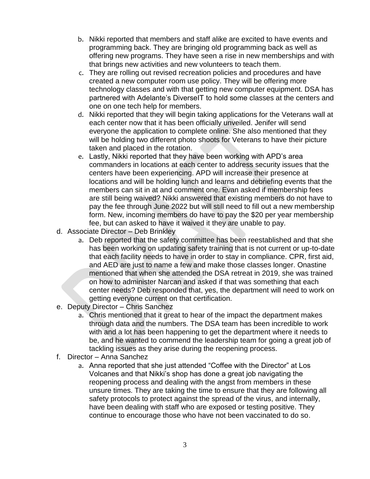- b. Nikki reported that members and staff alike are excited to have events and programming back. They are bringing old programming back as well as offering new programs. They have seen a rise in new memberships and with that brings new activities and new volunteers to teach them.
- c. They are rolling out revised recreation policies and procedures and have created a new computer room use policy. They will be offering more technology classes and with that getting new computer equipment. DSA has partnered with Adelante's DiverseIT to hold some classes at the centers and one on one tech help for members.
- d. Nikki reported that they will begin taking applications for the Veterans wall at each center now that it has been officially unveiled. Jenifer will send everyone the application to complete online. She also mentioned that they will be holding two different photo shoots for Veterans to have their picture taken and placed in the rotation.
- e. Lastly, Nikki reported that they have been working with APD's area commanders in locations at each center to address security issues that the centers have been experiencing. APD will increase their presence at locations and will be holding lunch and learns and debriefing events that the members can sit in at and comment one. Evan asked if membership fees are still being waived? Nikki answered that existing members do not have to pay the fee through June 2022 but will still need to fill out a new membership form. New, incoming members do have to pay the \$20 per year membership fee, but can asked to have it waived it they are unable to pay.
- d. Associate Director Deb Brinkley
	- a. Deb reported that the safety committee has been reestablished and that she has been working on updating safety training that is not current or up-to-date that each facility needs to have in order to stay in compliance. CPR, first aid, and AED are just to name a few and make those classes longer. Onastine mentioned that when she attended the DSA retreat in 2019, she was trained on how to administer Narcan and asked if that was something that each center needs? Deb responded that, yes, the department will need to work on getting everyone current on that certification.
- e. Deputy Director Chris Sanchez
	- a. Chris mentioned that it great to hear of the impact the department makes through data and the numbers. The DSA team has been incredible to work with and a lot has been happening to get the department where it needs to be, and he wanted to commend the leadership team for going a great job of tackling issues as they arise during the reopening process.
- f. Director Anna Sanchez
	- a. Anna reported that she just attended "Coffee with the Director" at Los Volcanes and that Nikki's shop has done a great job navigating the reopening process and dealing with the angst from members in these unsure times. They are taking the time to ensure that they are following all safety protocols to protect against the spread of the virus, and internally, have been dealing with staff who are exposed or testing positive. They continue to encourage those who have not been vaccinated to do so.